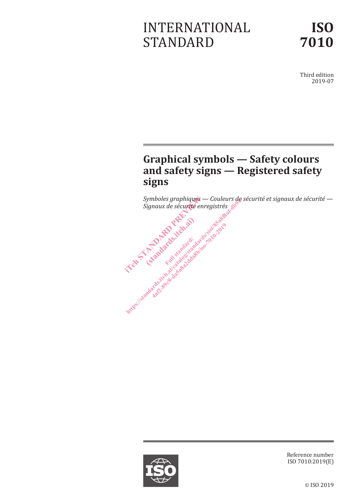# INTERNATIONAL STANDARD

Third edition 2019-07

# **Graphical symbols — Safety colours and safety signs — Registered safety signs**

*Symboles graphiques — Couleurs de sécurité et signaux de sécurité — Signaux de sécurité enregistrés*





Reference number ISO 7010:2019(E)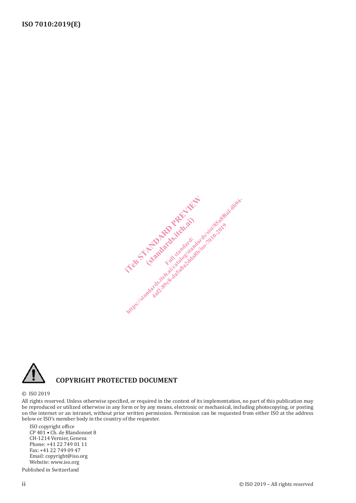



### **COPYRIGHT PROTECTED DOCUMENT**

#### © ISO 2019

All rights reserved. Unless otherwise specified, or required in the context of its implementation, no part of this publication may be reproduced or utilized otherwise in any form or by any means, electronic or mechanical, including photocopying, or posting on the internet or an intranet, without prior written permission. Permission can be requested from either ISO at the address below or ISO's member body in the country of the requester.

ISO copyright office CP 401 • Ch. de Blandonnet 8 CH-1214 Vernier, Geneva Phone: +41 22 749 01 11 Fax: +41 22 749 09 47 Email: copyright@iso.org Website: www.iso.org

Published in Switzerland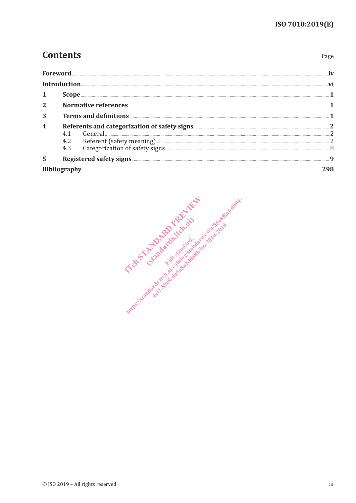Page

# **Contents**

|              | Introduction. |                                                                                                                                                                                                                                                                                                                                                                                         |  |  |
|--------------|---------------|-----------------------------------------------------------------------------------------------------------------------------------------------------------------------------------------------------------------------------------------------------------------------------------------------------------------------------------------------------------------------------------------|--|--|
| 1            |               | $\textbf{Scope} \textit{} \textit{} \textit{} \textit{} \textit{} \textit{} \textit{} \textit{} \textit{} \textit{} \textit{} \textit{} \textit{} \textit{} \textit{} \textit{} \textit{} \textit{} \textit{} \textit{} \textit{} \textit{} \textit{} \textit{} \textit{} \textit{} \textit{} \textit{} \textit{} \textit{} \textit{} \textit{} \textit{} \textit{} \textit{} \textit{$ |  |  |
| $\mathbf{2}$ |               |                                                                                                                                                                                                                                                                                                                                                                                         |  |  |
| 3            |               |                                                                                                                                                                                                                                                                                                                                                                                         |  |  |
| 4            |               |                                                                                                                                                                                                                                                                                                                                                                                         |  |  |
| 5            |               |                                                                                                                                                                                                                                                                                                                                                                                         |  |  |
|              |               |                                                                                                                                                                                                                                                                                                                                                                                         |  |  |

International control of the Manufacture of the American control of the American control of the American control of the American control of the American control of the American control of the American control of the Americ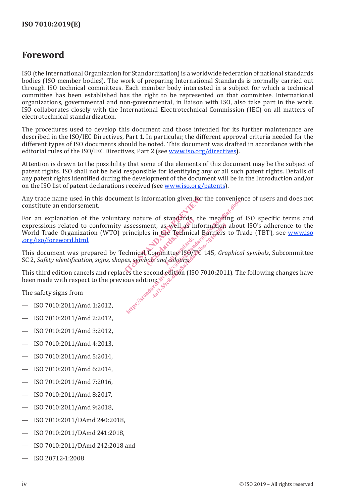### **Foreword**

ISO (the International Organization for Standardization) is a worldwide federation of national standards bodies (ISO member bodies). The work of preparing International Standards is normally carried out through ISO technical committees. Each member body interested in a subject for which a technical committee has been established has the right to be represented on that committee. International organizations, governmental and non-governmental, in liaison with ISO, also take part in the work. ISO collaborates closely with the International Electrotechnical Commission (IEC) on all matters of electrotechnical standardization.

The procedures used to develop this document and those intended for its further maintenance are described in the ISO/IEC Directives, Part 1. In particular, the different approval criteria needed for the different types of ISO documents should be noted. This document was drafted in accordance with the editorial rules of the ISO/IEC Directives, Part 2 (see www.iso.org/directives).

Attention is drawn to the possibility that some of the elements of this document may be the subject of patent rights. ISO shall not be held responsible for identifying any or all such patent rights. Details of any patent rights identified during the development of the document will be in the Introduction and/or on the ISO list of patent declarations received (see www.iso.org/patents).

Any trade name used in this document is information given for the convenience of users and does not constitute an endorsement.

For an explanation of the voluntary nature of standards, the meaning of ISO specific terms and expressions related to conformity assessment, as well as information about ISO's adherence to the World Trade Organization (WTO) principles in the Technical Barriers to Trade (TBT), see www.iso<br>org/iso/foreword.html .org/iso/foreword.html. ent is information given for the<br>ry nature of standards, the m<br>assessment, as well as informat<br>principles in the Technical Barr<br>chnical Committee 180/TC 145,<br>es, symbols and colours. re of standards, the<br>nes in the Technical<br>es in the Technical<br>Committee ISO/T ht is information given the convengence of transformation in the Technical Barriers to Transformation about rinciples in the Technical Barriers to Transformation about rinciples in the Technical Barriers to Transformation in the Technical Barriers<br>in the Technical Barriers<br>committee ISO/TC 145, Grand<br>data and colours.<br>condedition (ISO 7010:2019)<br>in the section

This document was prepared by Technical Committee ISO/TC 145, *Graphical symbols*, Subcommittee SC 2, *Safety identification, signs, shapes, symbols and colours*.

This third edition cancels and replaces the second edition (ISO 7010:2011). The following changes have been made with respect to the previous edition:

The safety signs from

- ISO 7010:2011/Amd 1:2012,
- ISO 7010:2011/Amd 2:2012,
- ISO 7010:2011/Amd 3:2012,
- ISO 7010:2011/Amd 4:2013,
- ISO 7010:2011/Amd 5:2014,
- ISO 7010:2011/Amd 6:2014,
- ISO 7010:2011/Amd 7:2016,
- ISO 7010:2011/Amd 8:2017,
- ISO 7010:2011/Amd 9:2018,
- ISO 7010:2011/DAmd 240:2018,
- ISO 7010:2011/DAmd 241:2018,
- ISO 7010:2011/DAmd 242:2018 and
- ISO 20712-1:2008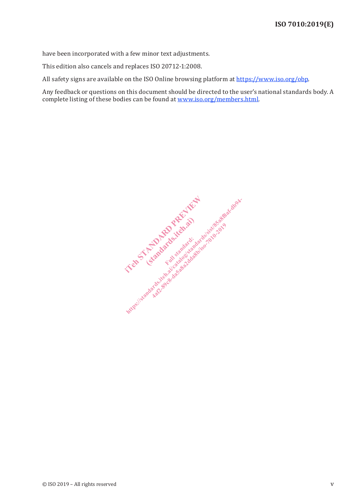have been incorporated with a few minor text adjustments.

This edition also cancels and replaces ISO 20712-1:2008.

All safety signs are available on the ISO Online browsing platform at https://www.iso.org/obp.

Any feedback or questions on this document should be directed to the user's national standards body. A complete listing of these bodies can be found at www.iso.org/members.html.

In Strandard Reports of the Miller Elmandards.iteh.ab https://standards.iteh.ai/catalogistandards.iteh.ai/catalogistandards.iteh.ai/catalogistandards.iteh.ai/catalogistandardisandardisandardisandardisandardisandardisandardisandardisandardisandardisandardisandardisandardisanda Kafiz-39c8-da5a8a2da8b/iso-7010-2019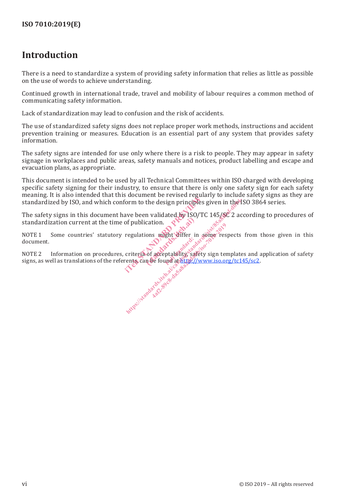## **Introduction**

There is a need to standardize a system of providing safety information that relies as little as possible on the use of words to achieve understanding.

Continued growth in international trade, travel and mobility of labour requires a common method of communicating safety information.

Lack of standardization may lead to confusion and the risk of accidents.

The use of standardized safety signs does not replace proper work methods, instructions and accident prevention training or measures. Education is an essential part of any system that provides safety information.

The safety signs are intended for use only where there is a risk to people. They may appear in safety signage in workplaces and public areas, safety manuals and notices, product labelling and escape and evacuation plans, as appropriate.

This document is intended to be used by all Technical Committees within ISO charged with developing specific safety signing for their industry, to ensure that there is only one safety sign for each safety meaning. It is also intended that this document be revised regularly to include safety signs as they are standardized by ISO, and which conform to the design principles given in the ISO 3864 series.

The safety signs in this document have been validated by ISO/TC 145/SC 2 according to procedures of standardization current at the time of publication. ite to the design principles gives<br>ave been validated by ISO/TC 14<br>of publication.<br>regulations might differ in some<br>criteria of acceptability safety signed criteria of acceptability.

NOTE 1 Some countries' statutory regulations might differ in some respects from those given in this document. cation.

NOTE 2 Information on procedures, criteria of acceptability, safety sign templates and application of safety signs, as well as translations of the referents, can be found at http://www.iso.org/tc145/sc2. rds dard dard criteria of acceptability safe East of Herzancaeap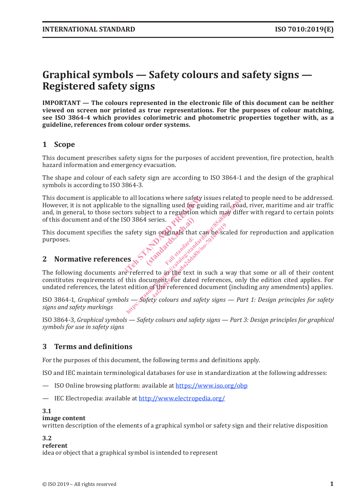# **Graphical symbols — Safety colours and safety signs — Registered safety signs**

**IMPORTANT — The colours represented in the electronic file of this document can be neither viewed on screen nor printed as true representations. For the purposes of colour matching, see ISO 3864-4 which provides colorimetric and photometric properties together with, as a guideline, references from colour order systems.**

#### **1 Scope**

This document prescribes safety signs for the purposes of accident prevention, fire protection, health hazard information and emergency evacuation.

The shape and colour of each safety sign are according to ISO 3864-1 and the design of the graphical symbols is according to ISO 3864-3.

This document is applicable to all locations where safety issues related to people need to be addressed. However, it is not applicable to the signalling used for guiding rail, road, river, maritime and air traffic and, in general, to those sectors subject to a regulation which may differ with regard to certain points of this document and of the ISO 3864 series. is all locations where safety issue<br>to the signalling used for guidin<br>ors subject to a regulation which<br>SO 3864 series.<br>safety sign originals that can be<br>safety sign originals that can be<br> $\mathbf{g}$ http://www.catalographylications.html<br>html ps://www.catalographylications.com/html psiloning.html<br>interactions.com/html psiloning.html<br>safety sign originals that can be scaled for<br>safety sign originals that can be scaled f

This document specifies the safety sign originals that can be scaled for reproduction and application purposes. I series. Part and a series of the state of the state of the state of the state of the state of the state of the state of the state of the state of the state of the state of the state of the state of the state of the state Standard:

### **2 Normative references**

The following documents are referred to in the text in such a way that some or all of their content constitutes requirements of this document. For dated references, only the edition cited applies. For undated references, the latest edition of the referenced document (including any amendments) applies. in originals that can be sc.

ISO 3864-1, *Graphical symbols — Safety colours and safety signs — Part 1: Design principles for safety signs and safety markings*

ISO 3864-3, *Graphical symbols — Safety colours and safety signs — Part 3: Design principles for graphical symbols for use in safety signs*

#### **3 Terms and definitions**

For the purposes of this document, the following terms and definitions apply.

ISO and IEC maintain terminological databases for use in standardization at the following addresses:

- ISO Online browsing platform: available at https://www.iso.org/obp
- IEC Electropedia: available at http://www.electropedia.org/

#### **3.1**

#### **image content**

written description of the elements of a graphical symbol or safety sign and their relative disposition

#### **3.2**

#### **referent**

idea or object that a graphical symbol is intended to represent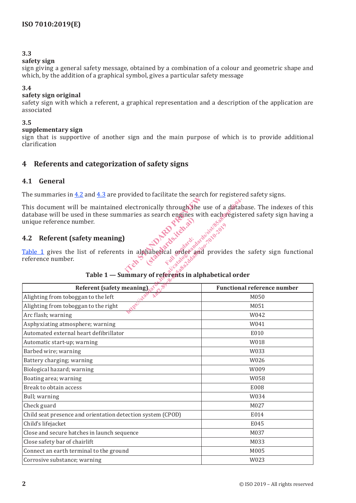#### **3.3**

#### **safety sign**

sign giving a general safety message, obtained by a combination of a colour and geometric shape and which, by the addition of a graphical symbol, gives a particular safety message

#### **3.4**

#### **safety sign original**

safety sign with which a referent, a graphical representation and a description of the application are associated

#### **3.5**

#### **supplementary sign**

sign that is supportive of another sign and the main purpose of which is to provide additional clarification

#### **4 Referents and categorization of safety signs**

#### **4.1 General**

The summaries in 4.2 and 4.3 are provided to facilitate the search for registered safety signs.

#### **4.2 Referent (safety meaning)**

| This document will be maintained electronically through the use of a database. The indexes of this<br>database will be used in these summaries as search engines with each registered safety sign having a<br>Table 1 gives the list of referents in alphabetical order and provides the safety sign functional |                                    |  |  |  |  |  |
|-----------------------------------------------------------------------------------------------------------------------------------------------------------------------------------------------------------------------------------------------------------------------------------------------------------------|------------------------------------|--|--|--|--|--|
|                                                                                                                                                                                                                                                                                                                 |                                    |  |  |  |  |  |
| reference number.<br>85<br>Table 1 - Summary of referents in alphabetical order                                                                                                                                                                                                                                 |                                    |  |  |  |  |  |
| Referent (safety meaning),                                                                                                                                                                                                                                                                                      | <b>Functional reference number</b> |  |  |  |  |  |
| Alighting from toboggan to the left                                                                                                                                                                                                                                                                             | M050                               |  |  |  |  |  |
| Alighting from toboggan to the right                                                                                                                                                                                                                                                                            | M051                               |  |  |  |  |  |
| Arc flash; warning                                                                                                                                                                                                                                                                                              | W042                               |  |  |  |  |  |
| Asphyxiating atmosphere; warning                                                                                                                                                                                                                                                                                | W041                               |  |  |  |  |  |
| Automated external heart defibrillator                                                                                                                                                                                                                                                                          | E010                               |  |  |  |  |  |
| Automatic start-up; warning                                                                                                                                                                                                                                                                                     | W018                               |  |  |  |  |  |
| Barbed wire; warning                                                                                                                                                                                                                                                                                            | W033                               |  |  |  |  |  |
| Battery charging; warning                                                                                                                                                                                                                                                                                       | W026                               |  |  |  |  |  |
| Biological hazard; warning                                                                                                                                                                                                                                                                                      | W009                               |  |  |  |  |  |
| Boating area; warning                                                                                                                                                                                                                                                                                           | W058                               |  |  |  |  |  |
| Break to obtain access                                                                                                                                                                                                                                                                                          | E008                               |  |  |  |  |  |
| Bull; warning                                                                                                                                                                                                                                                                                                   | W034                               |  |  |  |  |  |
| Check guard                                                                                                                                                                                                                                                                                                     | M027                               |  |  |  |  |  |
| Child seat presence and orientation detection system (CPOD)                                                                                                                                                                                                                                                     | E014                               |  |  |  |  |  |
| Child's lifejacket                                                                                                                                                                                                                                                                                              | E045                               |  |  |  |  |  |
| Close and secure hatches in launch sequence                                                                                                                                                                                                                                                                     | M037                               |  |  |  |  |  |
| Close safety bar of chairlift                                                                                                                                                                                                                                                                                   | M033                               |  |  |  |  |  |
| Connect an earth terminal to the ground                                                                                                                                                                                                                                                                         | M005                               |  |  |  |  |  |
| Corrosive substance; warning                                                                                                                                                                                                                                                                                    | W023                               |  |  |  |  |  |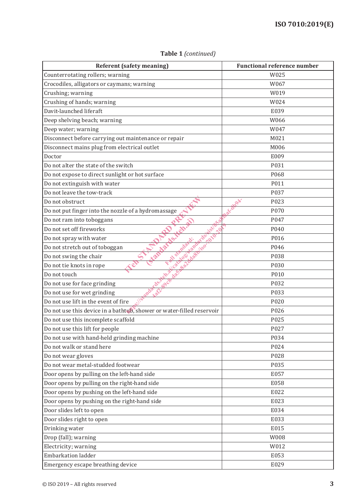| <b>Referent (safety meaning)</b>                                      | <b>Functional reference number</b> |
|-----------------------------------------------------------------------|------------------------------------|
| Counterrotating rollers; warning                                      | W025                               |
| Crocodiles, alligators or caymans; warning                            | W067                               |
| Crushing; warning                                                     | W019                               |
| Crushing of hands; warning                                            | W024                               |
| Davit-launched liferaft                                               | E039                               |
| Deep shelving beach; warning                                          | W066                               |
| Deep water; warning                                                   | W047                               |
| Disconnect before carrying out maintenance or repair                  | M021                               |
| Disconnect mains plug from electrical outlet                          | M006                               |
| Doctor                                                                | E009                               |
| Do not alter the state of the switch                                  | P031                               |
| Do not expose to direct sunlight or hot surface                       | P068                               |
| Do not extinguish with water                                          | P011                               |
| Do not leave the tow-track                                            | P037                               |
| Do not obstruct                                                       | P023                               |
| Do not put finger into the nozzle of a hydromassage                   | P070                               |
| Do not ram into toboggans                                             | P047                               |
| SISTE<br>Do not set off fireworks                                     | P040                               |
| Famardentenal<br>Kaspitear (March)<br>Do not spray with water         | P016                               |
| <b>Kand!</b><br>Do not stretch out of toboggan                        | P046                               |
| Do not swing the chair                                                | P038                               |
| Do not tie knots in rope                                              | P030                               |
| Do not touch                                                          | P010                               |
| Ash-89c8<br><b>Andards.1</b><br>Do not use for face grinding          | P032                               |
| Do not use for wet grinding                                           | P033                               |
| Do not use lift in the event of fire                                  | P020                               |
| Do not use this device in a bathtub, shower or water-filled reservoir | P026                               |
| Do not use this incomplete scaffold                                   | P025                               |
| Do not use this lift for people                                       | P027                               |
| Do not use with hand-held grinding machine                            | P034                               |
| Do not walk or stand here                                             | P024                               |
| Do not wear gloves                                                    | P028                               |
| Do not wear metal-studded footwear                                    | P035                               |
| Door opens by pulling on the left-hand side                           | E057                               |
| Door opens by pulling on the right-hand side                          | E058                               |
| Door opens by pushing on the left-hand side                           | E022                               |
| Door opens by pushing on the right-hand side                          | E023                               |
| Door slides left to open                                              | E034                               |
| Door slides right to open                                             | E033                               |
| Drinking water                                                        | E015                               |
| Drop (fall); warning                                                  | W008                               |
| Electricity; warning                                                  | W012                               |
| <b>Embarkation ladder</b>                                             | E053                               |
| Emergency escape breathing device                                     | E029                               |

**Table 1** *(continued)*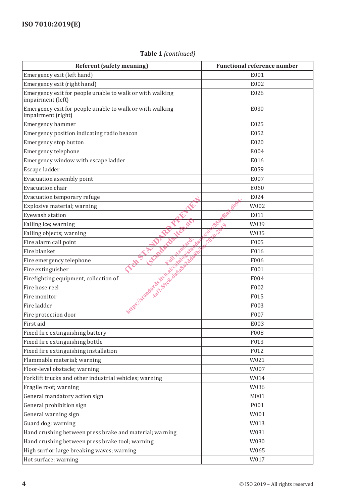#### **Table 1** *(continued)*

| <b>Referent (safety meaning)</b>                                               | <b>Functional reference number</b> |
|--------------------------------------------------------------------------------|------------------------------------|
| Emergency exit (left hand)                                                     | E001                               |
| Emergency exit (right hand)                                                    | E002                               |
| Emergency exit for people unable to walk or with walking<br>impairment (left)  | E026                               |
| Emergency exit for people unable to walk or with walking<br>impairment (right) | E030                               |
| Emergency hammer                                                               | E025                               |
| Emergency position indicating radio beacon                                     | E052                               |
| Emergency stop button                                                          | E020                               |
| Emergency telephone                                                            | E004                               |
| Emergency window with escape ladder                                            | E016                               |
| Escape ladder                                                                  | E059                               |
| Evacuation assembly point                                                      | E007                               |
| Evacuation chair                                                               | E060                               |
| Evacuation temporary refuge                                                    | E024                               |
| Explosive material; warning                                                    | W002                               |
| Eyewash station                                                                | E011                               |
| Falling ice; warning                                                           | W039                               |
| Falling objects; warning                                                       | W035                               |
| Fire alarm call point                                                          | F005                               |
| VStanday<br>Fire blanket                                                       | F016                               |
| 2008<br>Fire emergency telephone                                               | F006                               |
| Fire extinguisher                                                              | F001                               |
| 110<br>Firefighting equipment, collection of                                   | F004                               |
| Fire hose reel                                                                 | F002                               |
| Fire monitor                                                                   | F015                               |
| Fire ladder                                                                    | F003                               |
| Fire protection door                                                           | F007                               |
| First aid                                                                      | E003                               |
| Fixed fire extinguishing battery                                               | F008                               |
| Fixed fire extinguishing bottle                                                | F013                               |
| Fixed fire extinguishing installation                                          | F012                               |
| Flammable material; warning                                                    | W021                               |
| Floor-level obstacle; warning                                                  | W007                               |
| Forklift trucks and other industrial vehicles; warning                         | W014                               |
| Fragile roof; warning                                                          | W036                               |
| General mandatory action sign                                                  | M001                               |
| General prohibition sign                                                       | P001                               |
| General warning sign                                                           | W001                               |
| Guard dog; warning                                                             | W013                               |
| Hand crushing between press brake and material; warning                        | W031                               |
| Hand crushing between press brake tool; warning                                | W030                               |
| High surf or large breaking waves; warning                                     | W065                               |
| Hot surface; warning                                                           | W017                               |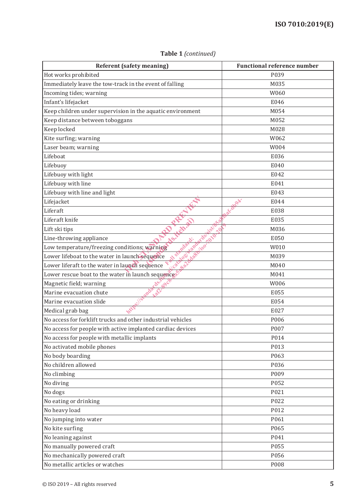| <b>Referent (safety meaning)</b>                                                                                                                                                                                                                                               | <b>Functional reference number</b> |
|--------------------------------------------------------------------------------------------------------------------------------------------------------------------------------------------------------------------------------------------------------------------------------|------------------------------------|
| Hot works prohibited                                                                                                                                                                                                                                                           | P039                               |
| Immediately leave the tow-track in the event of falling                                                                                                                                                                                                                        | M035                               |
| Incoming tides; warning                                                                                                                                                                                                                                                        | W060                               |
| Infant's lifejacket                                                                                                                                                                                                                                                            | E046                               |
| Keep children under supervision in the aquatic environment                                                                                                                                                                                                                     | M054                               |
| Keep distance between toboggans                                                                                                                                                                                                                                                | M052                               |
| Keep locked                                                                                                                                                                                                                                                                    | M028                               |
| Kite surfing; warning                                                                                                                                                                                                                                                          | W062                               |
| Laser beam; warning                                                                                                                                                                                                                                                            | W004                               |
| Lifeboat                                                                                                                                                                                                                                                                       | E036                               |
| Lifebuoy                                                                                                                                                                                                                                                                       | E040                               |
| Lifebuoy with light                                                                                                                                                                                                                                                            | E042                               |
| Lifebuoy with line                                                                                                                                                                                                                                                             | E041                               |
| Lifebuoy with line and light                                                                                                                                                                                                                                                   | E043                               |
| Lifejacket                                                                                                                                                                                                                                                                     | E044                               |
| Liferaft                                                                                                                                                                                                                                                                       | E038                               |
| Liferaft knife                                                                                                                                                                                                                                                                 | E035                               |
| <b>WESTERN</b>                                                                                                                                                                                                                                                                 | M036                               |
| Aribert                                                                                                                                                                                                                                                                        | E050                               |
|                                                                                                                                                                                                                                                                                | W010                               |
|                                                                                                                                                                                                                                                                                | M039                               |
| Low temperature/freezing conditions; warning<br>Tower liferaft to the water in launch sequence and of the series of the series of the Magnetic field; warning and the series of the series of the series of the series of the series of the series of the series of the series | M040                               |
|                                                                                                                                                                                                                                                                                | M041                               |
|                                                                                                                                                                                                                                                                                | W006                               |
|                                                                                                                                                                                                                                                                                | E055                               |
|                                                                                                                                                                                                                                                                                | E054                               |
| Medical grab bag                                                                                                                                                                                                                                                               | E027                               |
| No access for forklift trucks and other industrial vehicles                                                                                                                                                                                                                    | P006                               |
| No access for people with active implanted cardiac devices                                                                                                                                                                                                                     | P007                               |
| No access for people with metallic implants                                                                                                                                                                                                                                    | P014                               |
| No activated mobile phones                                                                                                                                                                                                                                                     | P013                               |
| No body boarding                                                                                                                                                                                                                                                               | P063                               |
| No children allowed                                                                                                                                                                                                                                                            | P036                               |
| No climbing                                                                                                                                                                                                                                                                    | P009                               |
| No diving                                                                                                                                                                                                                                                                      | P052                               |
| No dogs                                                                                                                                                                                                                                                                        | P021                               |
| No eating or drinking                                                                                                                                                                                                                                                          | P022                               |
| No heavy load                                                                                                                                                                                                                                                                  | P012                               |
| No jumping into water                                                                                                                                                                                                                                                          | P061                               |
| No kite surfing                                                                                                                                                                                                                                                                | P065                               |
| No leaning against                                                                                                                                                                                                                                                             | P041                               |
| No manually powered craft                                                                                                                                                                                                                                                      | P055                               |
| No mechanically powered craft                                                                                                                                                                                                                                                  | P056                               |
| No metallic articles or watches                                                                                                                                                                                                                                                | P008                               |

**Table 1** *(continued)*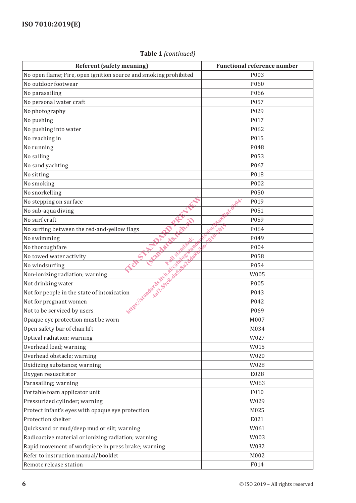#### **Referent (safety meaning)** Functional reference number No open flame; Fire, open ignition source and smoking prohibited P003 No outdoor footwear and positive policy and positive policy and policy policy points are positive points and points  $P060$ No parasailing PO66 and the PO66 and the PO66 and the PO66 and the PO66 and the PO66 and the PO66 and the PO66 No personal water craft  $\sim$  PO57 No photography PO29 No pushing P017 No pushing into water PO62 No reaching in Post Police in the Post Police in the Police Police in the Police Police Police Police Police Po No running PO48 No sailing Post Processing Post Processing Post Processing Post Processing Post Processing Post Processing Post No sand yachting PO67 No sitting **Polymers** Provide the Contract of the Polymers of Polymers and Polymers Provide the Polymers of Polymers Provide the Polymers of Polymers and Polymers and Polymers and Polymers and Polymers and Polymers and Pol No smoking POO2 No snorkelling PO50 No stepping on surface  $\mathbb{R}^{\mathbb{N}}$  P019 No sub-aqua diving  $\mathbb{R}^{\mathbb{R}^6}$  P051 No surf craft POS9 No surfing between the red-and-yellow flags  $\mathcal{N}$ ,  $\mathcal{N}$   $\mathcal{N}$   $\mathcal{N}$  P064 No swimming  $\mathcal{N} \mathbb{R}^5$   $\mathbb{R}^5$   $\mathbb{R}^5$   $\mathbb{R}^7$   $\mathbb{R}^8$   $\mathbb{R}^9$ No thoroughfare  $\mathcal{L}^{\mathcal{L}}$  and  $\mathcal{L}^{\mathcal{L}}$  and  $\mathcal{L}^{\mathcal{L}}$  and  $\mathcal{L}^{\mathcal{L}}$  and  $\mathcal{L}^{\mathcal{L}}$  and  $\mathcal{L}^{\mathcal{L}}$  and  $\mathcal{L}^{\mathcal{L}}$  and  $\mathcal{L}^{\mathcal{L}}$  and  $\mathcal{L}^{\mathcal{L}}$  and  $\mathcal{L}^{\mathcal{L}}$  and  $\mathcal{$ No towed water activity  $\left( \frac{1}{2} \right)^{3} \left( \frac{1}{2} \right)^{3} \left( \frac{1}{2} \right)^{3} \left( \frac{1}{2} \right)^{3}$ No windsurfing P054 Non-ionizing radiation; warning  $W^{(8)}_{\infty} \approx 1$  W005 Not drinking water  $\mathbb{R}^5 \times \mathbb{R}^5$ Not for people in the state of intoxication  $\mathbb{R}^8 \mathbb{R}^9$ Not for pregnant women  $\mathbb{R}^{\S^*}$  P042 Not to be serviced by users  $W^{\mathbf{W}}$  P069 Opaque eye protection must be worn MOO7 and MOO7 MOO7 MOO7 Open safety bar of chairlift MO34 Optical radiation; warning W027 Overhead load; warning WOMES NET AND RESERVE TO A 2009 WORLD WORLD WORLD WORLD WORLD WORLD WORLD WORLD WORLD WORLD WORLD WORLD WORLD WORLD WORLD WORLD WORLD WAS A VEHICLE OF A 2009 WORLD WORLD WAS ARRESTED FOR A VEHICLE OF Overhead obstacle; warning WO20 Oxidizing substance; warning WO 28 and World World World World World World World World World World World World World World World World World World World World World World World World World World World World World World Wor Oxygen resuscitator and the E028 Parasailing; warning W063 Portable foam applicator unit F010 Pressurized cylinder; warning W029 Protect infant's eyes with opaque eye protection and all the M025 Protection shelter E021 Quicksand or mud/deep mud or silt; warning  $W061$ Radioactive material or ionizing radiation; warning Theorem Controller M003 Rapid movement of workpiece in press brake; warning  $W032$ Refer to instruction manual/booklet M002 Teles Report of the Main State of the Main State of the Main State of the Main State of the Main State of the Main State of the Main State of the Main State of the Main State of the Main State of the Main State of the Main (standards.items) Ful standard: https://standards.item.com/sist/85afa8f8afa6.item.com/sist/85afa8fa6.item.com/sist/85afa8fa6.item.com/sist/85a<br>https://standards.item.com/sist/85afa8fa6.item.com/sist/85afa8fa6.item.com/sist/85afa8fa6.item.com/sist/85afa8<br> 4af2-89c8-da5a8a2dda8b/iso-7010-2019

Remote release station FO14

#### **Table 1** *(continued)*